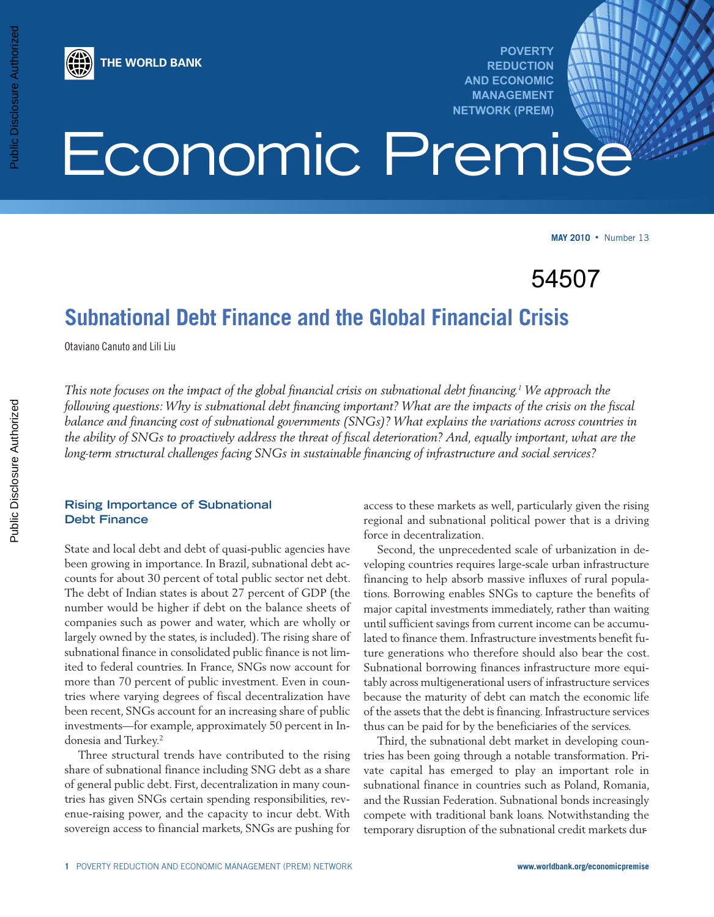

Public Disclosure Authorized

**POVERTY REDUCTION AND ECONOMIC MANAGEMENT NETWORK (PREM)**

# Economic Premise

**MAY 2010** • Number 13

54507

# **Subnational Debt Finance and the Global Financial Crisis**

Otaviano Canuto and Lili Liu

**THE WORLD BANK**

This note focuses on the impact of the global financial crisis on subnational debt financing.<sup>1</sup> We approach the following questions: Why is subnational debt financing important? What are the impacts of the crisis on the fiscal *balance and financing cost of subnational governments (SNGs)? What explains the variations across countries in* the ability of SNGs to proactively address the threat of fiscal deterioration? And, equally important, what are the *long-term structural challenges facing SNGs in sustainable financing of infrastructure and social services?*

# **Rising Importance of Subnational Debt Finance**

State and local debt and debt of quasi-public agencies have been growing in importance. In Brazil, subnational debt accounts for about 30 percent of total public sector net debt. The debt of Indian states is about 27 percent of GDP (the number would be higher if debt on the balance sheets of companies such as power and water, which are wholly or largely owned by the states, is included).The rising share of subnational finance in consolidated public finance is not limited to federal countries. In France, SNGs now account for more than 70 percent of public investment. Even in countries where varying degrees of fiscal decentralization have been recent, SNGs account for an increasing share of public investments—for example, approximately 50 percent in Indonesia and Turkey. 2

Three structural trends have contributed to the rising share of subnational finance including SNG debt as a share of general public debt. First, decentralization in many countries has given SNGs certain spending responsibilities, revenue-raising power, and the capacity to incur debt. With sovereign access to financial markets, SNGs are pushing for

access to these markets as well, particularly given the rising regional and subnational political power that is a driving force in decentralization.

Second, the unprecedented scale of urbanization in developing countries requires large-scale urban infrastructure financing to help absorb massive influxes of rural populations. Borrowing enables SNGs to capture the benefits of major capital investments immediately, rather than waiting until sufficient savings from current income can be accumulated to finance them. Infrastructure investments benefit future generations who therefore should also bear the cost. Subnational borrowing finances infrastructure more equitably across multigenerational users of infrastructure services because the maturity of debt can match the economic life of the assets that the debt is financing. Infrastructure services thus can be paid for by the beneficiaries of the services.

Third, the subnational debt market in developing countries has been going through a notable transformation. Private capital has emerged to play an important role in subnational finance in countries such as Poland, Romania, and the Russian Federation. Subnational bonds increasingly compete with traditional bank loans. Notwithstanding the temporary disruption of the subnational credit markets dur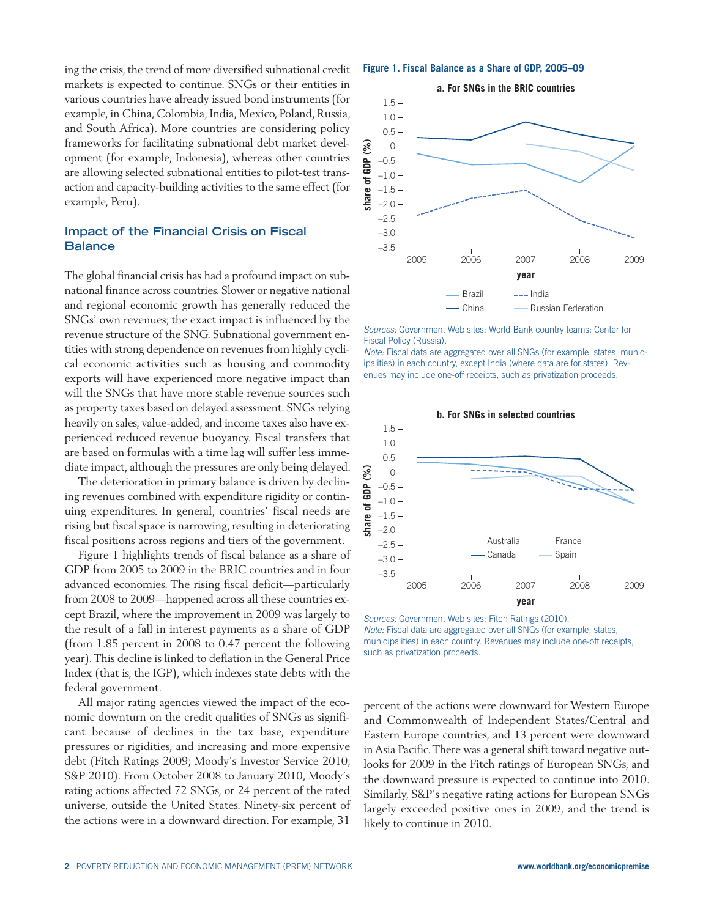ing the crisis, the trend of more diversified subnational credit markets is expected to continue. SNGs or their entities in various countries have already issued bond instruments (for example, in China, Colombia, India, Mexico, Poland, Russia, and South Africa). More countries are considering policy frameworks for facilitating subnational debt market development (for example, Indonesia), whereas other countries are allowing selected subnational entities to pilot-test transaction and capacity-building activities to the same effect (for example, Peru).

# **Impact of the Financial Crisis on Fiscal Balance**

The global financial crisis has had a profound impact on subnational finance across countries. Slower or negative national and regional economic growth has generally reduced the SNGs' own revenues; the exact impact is influenced by the revenue structure of the SNG. Subnational government entities with strong dependence on revenues from highly cyclical economic activities such as housing and commodity exports will have experienced more negative impact than will the SNGs that have more stable revenue sources such as property taxes based on delayed assessment. SNGs relying heavily on sales, value-added, and income taxes also have experienced reduced revenue buoyancy. Fiscal transfers that are based on formulas with a time lag will suffer less immediate impact, although the pressures are only being delayed.

The deterioration in primary balance is driven by declining revenues combined with expenditure rigidity or continuing expenditures. In general, countries' fiscal needs are rising but fiscal space is narrowing, resulting in deteriorating fiscal positions across regions and tiers of the government.

Figure 1 highlights trends of fiscal balance as a share of GDP from 2005 to 2009 in the BRIC countries and in four advanced economies. The rising fiscal deficit—particularly from 2008 to 2009—happened across all these countries except Brazil, where the improvement in 2009 was largely to the result of a fall in interest payments as a share of GDP (from 1.85 percent in 2008 to 0.47 percent the following year).This decline is linked to deflation in the General Price Index (that is, the IGP), which indexes state debts with the federal government.

All major rating agencies viewed the impact of the economic downturn on the credit qualities of SNGs as significant because of declines in the tax base, expenditure pressures or rigidities, and increasing and more expensive debt (Fitch Ratings 2009; Moody's Investor Service 2010; S&P 2010). From October 2008 to January 2010, Moody's rating actions affected 72 SNGs, or 24 percent of the rated universe, outside the United States. Ninety-six percent of the actions were in a downward direction. For example, 31

**Figure 1. Fiscal Balance as a Share of GDP, 2005–09**



Sources: Government Web sites; World Bank country teams; Center for Fiscal Policy (Russia).

Note: Fiscal data are aggregated over all SNGs (for example, states, municipalities) in each country, except India (where data are for states). Revenues may include one-off receipts, such as privatization proceeds.



Sources: Government Web sites; Fitch Ratings (2010). Note: Fiscal data are aggregated over all SNGs (for example, states, municipalities) in each country. Revenues may include one-off receipts, such as privatization proceeds.

percent of the actions were downward for Western Europe and Commonwealth of Independent States/Central and Eastern Europe countries, and 13 percent were downward in Asia Pacific.There was a general shift toward negative outlooks for 2009 in the Fitch ratings of European SNGs, and the downward pressure is expected to continue into 2010. Similarly, S&P's negative rating actions for European SNGs largely exceeded positive ones in 2009, and the trend is likely to continue in 2010.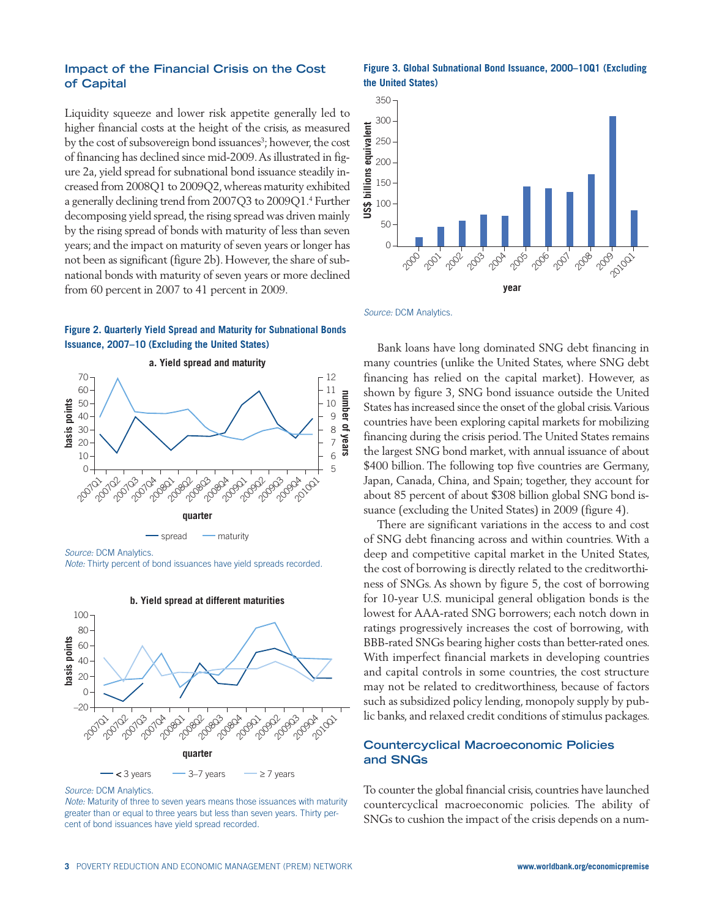## **Impact of the Financial Crisis on the Cost of Capital**

Liquidity squeeze and lower risk appetite generally led to higher financial costs at the height of the crisis, as measured by the cost of subsovereign bond issuances<sup>3</sup>; however, the cost of financing has declined since mid-2009.As illustrated in figure 2a, yield spread for subnational bond issuance steadily increased from 2008Q1 to 2009Q2,whereas maturity exhibited a generally declining trend from 2007Q3 to 2009Q1. <sup>4</sup> Further decomposing yield spread, the rising spread was driven mainly by the rising spread of bonds with maturity of less than seven years; and the impact on maturity of seven years or longer has not been as significant (figure 2b). However, the share of subnational bonds with maturity of seven years or more declined from 60 percent in 2007 to 41 percent in 2009.

#### **Figure 2. Quarterly Yield Spread and Maturity for Subnational Bonds Issuance, 2007–10 (Excluding the United States)**



Note: Thirty percent of bond issuances have yield spreads recorded.



Source: DCM Analytics.

Note: Maturity of three to seven years means those issuances with maturity greater than or equal to three years but less than seven years. Thirty percent of bond issuances have yield spread recorded.

**Figure 3. Global Subnational Bond Issuance, 2000–10Q1 (Excluding the United States)**



Source: DCM Analytics.

Bank loans have long dominated SNG debt financing in many countries (unlike the United States, where SNG debt financing has relied on the capital market). However, as shown by figure 3, SNG bond issuance outside the United States has increased since the onset of the global crisis.Various countries have been exploring capital markets for mobilizing financing during the crisis period.The United States remains the largest SNG bond market, with annual issuance of about \$400 billion. The following top five countries are Germany, Japan, Canada, China, and Spain; together, they account for about 85 percent of about \$308 billion global SNG bond issuance (excluding the United States) in 2009 (figure 4).

There are significant variations in the access to and cost of SNG debt financing across and within countries. With a deep and competitive capital market in the United States, the cost of borrowing is directly related to the creditworthiness of SNGs. As shown by figure 5, the cost of borrowing for 10-year U.S. municipal general obligation bonds is the lowest for AAA-rated SNG borrowers; each notch down in ratings progressively increases the cost of borrowing, with BBB-rated SNGs bearing higher costs than better-rated ones. With imperfect financial markets in developing countries and capital controls in some countries, the cost structure may not be related to creditworthiness, because of factors such as subsidized policy lending, monopoly supply by public banks, and relaxed credit conditions of stimulus packages.

#### **Countercyclical Macroeconomic Policies and SNGs**

To counter the global financial crisis, countries have launched countercyclical macroeconomic policies. The ability of SNGs to cushion the impact of the crisis depends on a num-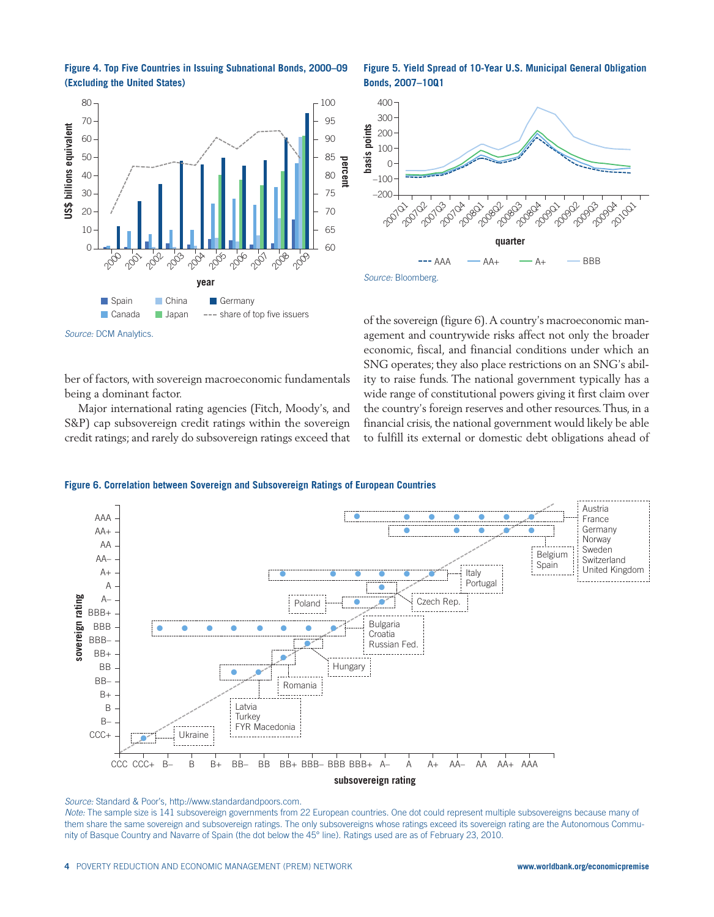



ber of factors, with sovereign macroeconomic fundamentals being a dominant factor.

Major international rating agencies (Fitch, Moody's, and S&P) cap subsovereign credit ratings within the sovereign credit ratings; and rarely do subsovereign ratings exceed that

**Figure 5. Yield Spread of 10-Year U.S. Municipal General Obligation Bonds, 2007–10Q1**



of the sovereign (figure 6).A country's macroeconomic management and countrywide risks affect not only the broader economic, fiscal, and financial conditions under which an SNG operates; they also place restrictions on an SNG's ability to raise funds. The national government typically has a wide range of constitutional powers giving it first claim over the country's foreign reserves and other resources.Thus, in a financial crisis, the national government would likely be able to fulfill its external or domestic debt obligations ahead of

#### **Figure 6. Correlation between Sovereign and Subsovereign Ratings of European Countries**



Source: Standard & Poor's, http://www.standardandpoors.com.

Note: The sample size is 141 subsovereign governments from 22 European countries. One dot could represent multiple subsovereigns because many of them share the same sovereign and subsovereign ratings. The only subsovereigns whose ratings exceed its sovereign rating are the Autonomous Community of Basque Country and Navarre of Spain (the dot below the 45° line). Ratings used are as of February 23, 2010.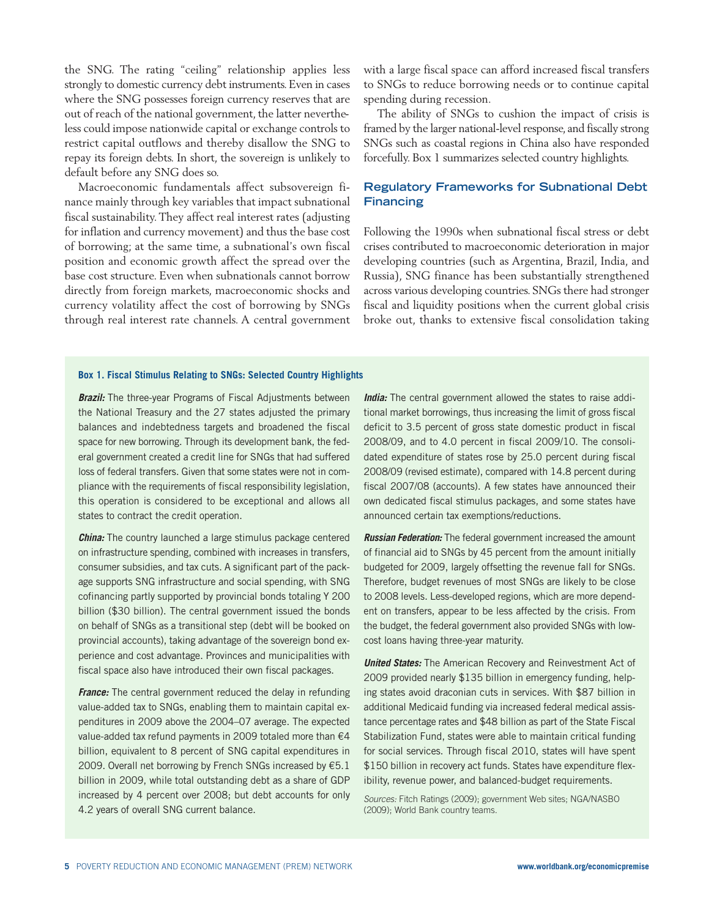the SNG. The rating "ceiling" relationship applies less strongly to domestic currency debt instruments.Even in cases where the SNG possesses foreign currency reserves that are out of reach of the national government, the latter nevertheless could impose nationwide capital or exchange controls to restrict capital outflows and thereby disallow the SNG to repay its foreign debts. In short, the sovereign is unlikely to default before any SNG does so.

Macroeconomic fundamentals affect subsovereign finance mainly through key variables that impact subnational fiscal sustainability.They affect real interest rates (adjusting for inflation and currency movement) and thus the base cost of borrowing; at the same time, a subnational's own fiscal position and economic growth affect the spread over the base cost structure. Even when subnationals cannot borrow directly from foreign markets, macroeconomic shocks and currency volatility affect the cost of borrowing by SNGs through real interest rate channels. A central government

with a large fiscal space can afford increased fiscal transfers to SNGs to reduce borrowing needs or to continue capital spending during recession.

The ability of SNGs to cushion the impact of crisis is framed by the larger national-level response, and fiscally strong SNGs such as coastal regions in China also have responded forcefully. Box 1 summarizes selected country highlights.

## **Regulatory Frameworks for Subnational Debt Financing**

Following the 1990s when subnational fiscal stress or debt crises contributed to macroeconomic deterioration in major developing countries (such as Argentina, Brazil, India, and Russia), SNG finance has been substantially strengthened across various developing countries. SNGs there had stronger fiscal and liquidity positions when the current global crisis broke out, thanks to extensive fiscal consolidation taking

#### **Box 1. Fiscal Stimulus Relating to SNGs: Selected Country Highlights**

*Brazil:* The three-year Programs of Fiscal Adjustments between the National Treasury and the 27 states adjusted the primary balances and indebtedness targets and broadened the fiscal space for new borrowing. Through its development bank, the federal government created a credit line for SNGs that had suffered loss of federal transfers. Given that some states were not in compliance with the requirements of fiscal responsibility legislation, this operation is considered to be exceptional and allows all states to contract the credit operation.

*China:* The country launched a large stimulus package centered on infrastructure spending, combined with increases in transfers, consumer subsidies, and tax cuts. A significant part of the package supports SNG infrastructure and social spending, with SNG cofinancing partly supported by provincial bonds totaling Y 200 billion (\$30 billion). The central government issued the bonds on behalf of SNGs as a transitional step (debt will be booked on provincial accounts), taking advantage of the sovereign bond experience and cost advantage. Provinces and municipalities with fiscal space also have introduced their own fiscal packages.

*France:* The central government reduced the delay in refunding value-added tax to SNGs, enabling them to maintain capital expenditures in 2009 above the 2004–07 average. The expected value-added tax refund payments in 2009 totaled more than €4 billion, equivalent to 8 percent of SNG capital expenditures in 2009. Overall net borrowing by French SNGs increased by €5.1 billion in 2009, while total outstanding debt as a share of GDP increased by 4 percent over 2008; but debt accounts for only 4.2 years of overall SNG current balance.

*India:* The central government allowed the states to raise additional market borrowings, thus increasing the limit of gross fiscal deficit to 3.5 percent of gross state domestic product in fiscal 2008/09, and to 4.0 percent in fiscal 2009/10. The consolidated expenditure of states rose by 25.0 percent during fiscal 2008/09 (revised estimate), compared with 14.8 percent during fiscal 2007/08 (accounts). A few states have announced their own dedicated fiscal stimulus packages, and some states have announced certain tax exemptions/reductions.

*Russian Federation:* The federal government increased the amount of financial aid to SNGs by 45 percent from the amount initially budgeted for 2009, largely offsetting the revenue fall for SNGs. Therefore, budget revenues of most SNGs are likely to be close to 2008 levels. Less-developed regions, which are more dependent on transfers, appear to be less affected by the crisis. From the budget, the federal government also provided SNGs with lowcost loans having three-year maturity.

*United States:* The American Recovery and Reinvestment Act of 2009 provided nearly \$135 billion in emergency funding, helping states avoid draconian cuts in services. With \$87 billion in additional Medicaid funding via increased federal medical assistance percentage rates and \$48 billion as part of the State Fiscal Stabilization Fund, states were able to maintain critical funding for social services. Through fiscal 2010, states will have spent \$150 billion in recovery act funds. States have expenditure flexibility, revenue power, and balanced-budget requirements.

Sources: Fitch Ratings (2009); government Web sites; NGA/NASBO (2009); World Bank country teams.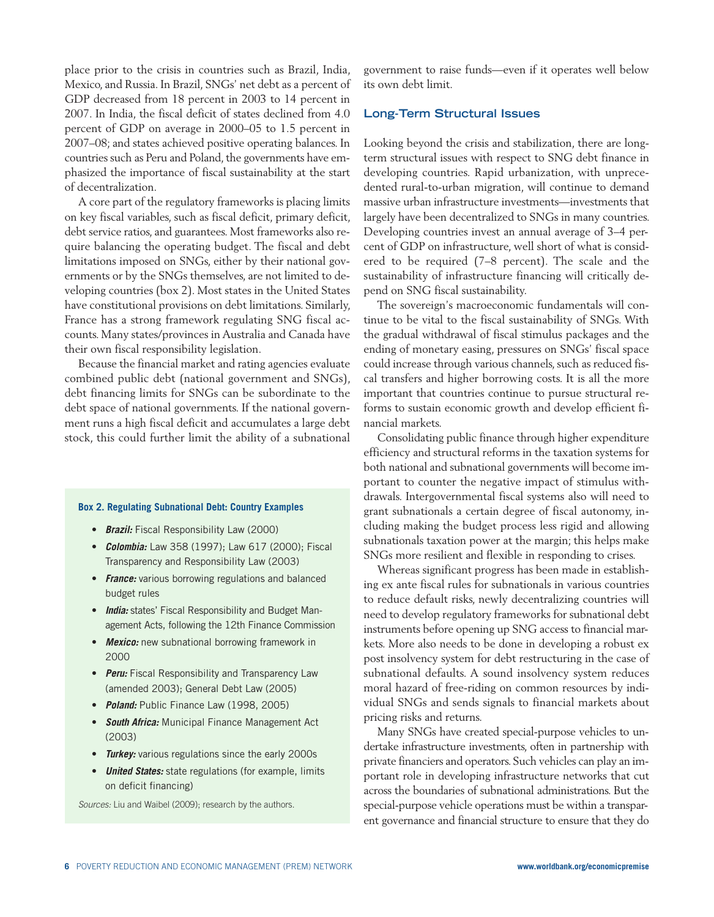place prior to the crisis in countries such as Brazil, India, Mexico, and Russia. In Brazil, SNGs' net debt as a percent of GDP decreased from 18 percent in 2003 to 14 percent in 2007. In India, the fiscal deficit of states declined from 4.0 percent of GDP on average in 2000–05 to 1.5 percent in 2007–08; and states achieved positive operating balances. In countries such as Peru and Poland, the governments have emphasized the importance of fiscal sustainability at the start of decentralization.

A core part of the regulatory frameworks is placing limits on key fiscal variables, such as fiscal deficit, primary deficit, debt service ratios, and guarantees. Most frameworks also require balancing the operating budget. The fiscal and debt limitations imposed on SNGs, either by their national governments or by the SNGs themselves, are not limited to developing countries (box 2). Most states in the United States have constitutional provisions on debt limitations. Similarly, France has a strong framework regulating SNG fiscal accounts. Many states/provinces in Australia and Canada have their own fiscal responsibility legislation.

Because the financial market and rating agencies evaluate combined public debt (national government and SNGs), debt financing limits for SNGs can be subordinate to the debt space of national governments. If the national government runs a high fiscal deficit and accumulates a large debt stock, this could further limit the ability of a subnational

#### **Box 2. Regulating Subnational Debt: Country Examples**

- *Brazil:* Fiscal Responsibility Law (2000)
- *Colombia:* Law 358 (1997); Law 617 (2000); Fiscal Transparency and Responsibility Law (2003)
- *France:* various borrowing regulations and balanced budget rules
- *India:* states' Fiscal Responsibility and Budget Management Acts, following the 12th Finance Commission
- *Mexico:* new subnational borrowing framework in 2000
- *Peru:* Fiscal Responsibility and Transparency Law (amended 2003); General Debt Law (2005)
- *Poland:* Public Finance Law (1998, 2005)
- *South Africa:* Municipal Finance Management Act (2003)
- *Turkey:* various regulations since the early 2000s
- *United States:* state regulations (for example, limits on deficit financing)

Sources: Liu and Waibel (2009); research by the authors.

government to raise funds—even if it operates well below its own debt limit.

#### **Long-Term Structural Issues**

Looking beyond the crisis and stabilization, there are longterm structural issues with respect to SNG debt finance in developing countries. Rapid urbanization, with unprecedented rural-to-urban migration, will continue to demand massive urban infrastructure investments—investments that largely have been decentralized to SNGs in many countries. Developing countries invest an annual average of 3–4 percent of GDP on infrastructure, well short of what is considered to be required (7–8 percent). The scale and the sustainability of infrastructure financing will critically depend on SNG fiscal sustainability.

The sovereign's macroeconomic fundamentals will continue to be vital to the fiscal sustainability of SNGs. With the gradual withdrawal of fiscal stimulus packages and the ending of monetary easing, pressures on SNGs' fiscal space could increase through various channels, such as reduced fiscal transfers and higher borrowing costs. It is all the more important that countries continue to pursue structural reforms to sustain economic growth and develop efficient financial markets.

Consolidating public finance through higher expenditure efficiency and structural reforms in the taxation systems for both national and subnational governments will become important to counter the negative impact of stimulus withdrawals. Intergovernmental fiscal systems also will need to grant subnationals a certain degree of fiscal autonomy, including making the budget process less rigid and allowing subnationals taxation power at the margin; this helps make SNGs more resilient and flexible in responding to crises.

Whereas significant progress has been made in establishing ex ante fiscal rules for subnationals in various countries to reduce default risks, newly decentralizing countries will need to develop regulatory frameworks for subnational debt instruments before opening up SNG access to financial markets. More also needs to be done in developing a robust ex post insolvency system for debt restructuring in the case of subnational defaults. A sound insolvency system reduces moral hazard of free-riding on common resources by individual SNGs and sends signals to financial markets about pricing risks and returns.

Many SNGs have created special-purpose vehicles to undertake infrastructure investments, often in partnership with private financiers and operators. Such vehicles can play an important role in developing infrastructure networks that cut across the boundaries of subnational administrations. But the special-purpose vehicle operations must be within a transparent governance and financial structure to ensure that they do